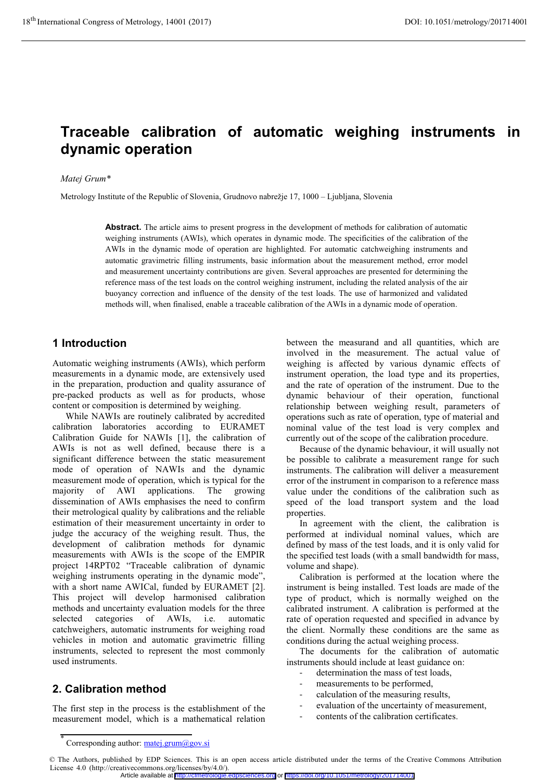# **Traceable calibration of automatic weighing instruments in dynamic operation**

#### *Matej Grum\**

Metrology Institute of the Republic of Slovenia, Grudnovo nabrežje 17, 1000 – Ljubljana, Slovenia

**Abstract.** The article aims to present progress in the development of methods for calibration of automatic weighing instruments (AWIs), which operates in dynamic mode. The specificities of the calibration of the AWIs in the dynamic mode of operation are highlighted. For automatic catchweighing instruments and automatic gravimetric filling instruments, basic information about the measurement method, error model and measurement uncertainty contributions are given. Several approaches are presented for determining the reference mass of the test loads on the control weighing instrument, including the related analysis of the air buoyancy correction and influence of the density of the test loads. The use of harmonized and validated methods will, when finalised, enable a traceable calibration of the AWIs in a dynamic mode of operation.

### **1 Introduction**

Automatic weighing instruments (AWIs), which perform measurements in a dynamic mode, are extensively used in the preparation, production and quality assurance of pre-packed products as well as for products, whose content or composition is determined by weighing.

While NAWIs are routinely calibrated by accredited calibration laboratories according to EURAMET Calibration Guide for NAWIs [1], the calibration of AWIs is not as well defined, because there is a significant difference between the static measurement mode of operation of NAWIs and the dynamic measurement mode of operation, which is typical for the majority of AWI applications. The growing dissemination of AWIs emphasises the need to confirm their metrological quality by calibrations and the reliable estimation of their measurement uncertainty in order to judge the accuracy of the weighing result. Thus, the development of calibration methods for dynamic measurements with AWIs is the scope of the EMPIR project 14RPT02 "Traceable calibration of dynamic weighing instruments operating in the dynamic mode", with a short name AWICal, funded by EURAMET [2]. This project will develop harmonised calibration methods and uncertainty evaluation models for the three selected categories of AWIs, i.e. automatic catchweighers, automatic instruments for weighing road vehicles in motion and automatic gravimetric filling instruments, selected to represent the most commonly used instruments.

# **2. Calibration method**

The first step in the process is the establishment of the measurement model, which is a mathematical relation

between the measurand and all quantities, which are involved in the measurement. The actual value of weighing is affected by various dynamic effects of instrument operation, the load type and its properties, and the rate of operation of the instrument. Due to the dynamic behaviour of their operation, functional relationship between weighing result, parameters of operations such as rate of operation, type of material and nominal value of the test load is very complex and currently out of the scope of the calibration procedure.

Because of the dynamic behaviour, it will usually not be possible to calibrate a measurement range for such instruments. The calibration will deliver a measurement error of the instrument in comparison to a reference mass value under the conditions of the calibration such as speed of the load transport system and the load properties.

In agreement with the client, the calibration is performed at individual nominal values, which are defined by mass of the test loads, and it is only valid for the specified test loads (with a small bandwidth for mass, volume and shape).

Calibration is performed at the location where the instrument is being installed. Test loads are made of the type of product, which is normally weighed on the calibrated instrument. A calibration is performed at the rate of operation requested and specified in advance by the client. Normally these conditions are the same as conditions during the actual weighing process.

The documents for the calibration of automatic instruments should include at least guidance on:

- determination the mass of test loads,
- measurements to be performed,
- calculation of the measuring results,
- evaluation of the uncertainty of measurement,
- contents of the calibration certificates.

<sup>\*</sup> Corresponding author: matej.grum@gov.si

<sup>©</sup> The Authors, published by EDP Sciences. This is an open access article distributed under the terms of the Creative Commons Attribution License 4.0 (http://creativecommons.org/licenses/by/4.0/). Article available at <http://cfmetrologie.edpsciences.org> or <https://doi.org/10.1051/metrology/201714001>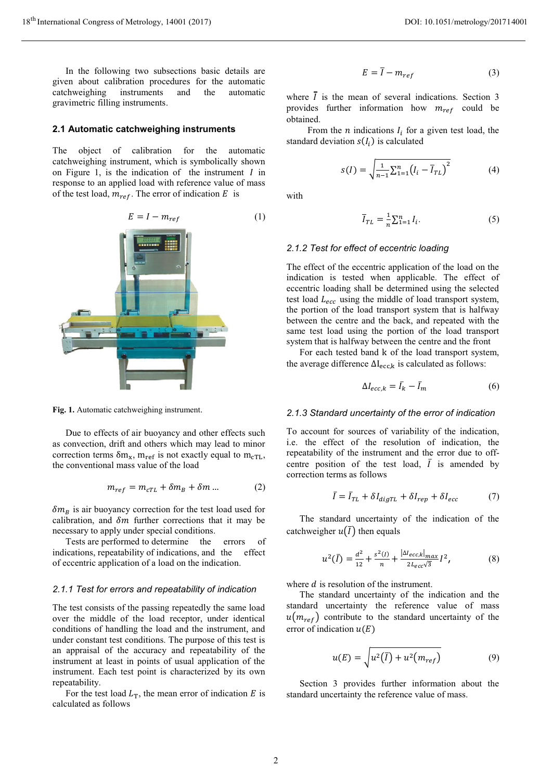In the following two subsections basic details are given about calibration procedures for the automatic catchweighing instruments and the automatic gravimetric filling instruments.

#### **2.1 Automatic catchweighing instruments**

The object of calibration for the automatic catchweighing instrument, which is symbolically shown on Figure 1, is the indication of the instrument  $I$  in response to an applied load with reference value of mass of the test load,  $m_{ref}$ . The error of indication E is



**Fig. 1.** Automatic catchweighing instrument.

Due to effects of air buoyancy and other effects such as convection, drift and others which may lead to minor correction terms  $\delta m_x$ ,  $m_{ref}$  is not exactly equal to  $m_{cTL}$ , the conventional mass value of the load

$$
m_{ref} = m_{cTL} + \delta m_B + \delta m \dots \tag{2}
$$

 $\delta m_B$  is air buoyancy correction for the test load used for calibration, and  $\delta m$  further corrections that it may be necessary to apply under special conditions.

Tests are performed to determine the errors of indications, repeatability of indications, and the effect of eccentric application of a load on the indication.

#### *2.1.1 Test for errors and repeatability of indication*

The test consists of the passing repeatedly the same load over the middle of the load receptor, under identical conditions of handling the load and the instrument, and under constant test conditions. The purpose of this test is an appraisal of the accuracy and repeatability of the instrument at least in points of usual application of the instrument. Each test point is characterized by its own repeatability.

For the test load  $L_T$ , the mean error of indication E is calculated as follows

$$
E = \overline{I} - m_{ref} \tag{3}
$$

where  $\overline{I}$  is the mean of several indications. Section 3 provides further information how  $m_{ref}$  could be obtained.

From the *n* indications  $I_i$  for a given test load, the standard deviation  $s(I_i)$  is calculated

$$
s(I) = \sqrt{\frac{1}{n-1} \sum_{i=1}^{n} (I_i - \overline{I}_{TL})^2}
$$
 (4)

with

$$
\overline{I}_{TL} = \frac{1}{n} \sum_{i=1}^{n} I_i.
$$
 (5)

#### *2.1.2 Test for effect of eccentric loading*

The effect of the eccentric application of the load on the indication is tested when applicable. The effect of eccentric loading shall be determined using the selected test load  $L_{ecc}$  using the middle of load transport system, the portion of the load transport system that is halfway between the centre and the back, and repeated with the same test load using the portion of the load transport system that is halfway between the centre and the front

For each tested band k of the load transport system, the average difference  $\Delta I_{\text{ecc},k}$  is calculated as follows:

$$
\Delta I_{ecc,k} = \bar{I}_k - \bar{I}_m \tag{6}
$$

#### *2.1.3 Standard uncertainty of the error of indication*

To account for sources of variability of the indication, i.e. the effect of the resolution of indication, the repeatability of the instrument and the error due to offcentre position of the test load,  $\bar{I}$  is amended by correction terms as follows

$$
\bar{I} = \bar{I}_{TL} + \delta I_{\text{digr}L} + \delta I_{rep} + \delta I_{ecc} \tag{7}
$$

The standard uncertainty of the indication of the catchweigher  $u(\overline{I})$  then equals

$$
u^{2}(\bar{I}) = \frac{d^{2}}{12} + \frac{s^{2}(I)}{n} + \frac{|M_{ecc,k}|_{max}}{2L_{ecc}\sqrt{3}}I^{2},
$$
 (8)

where  $d$  is resolution of the instrument.

The standard uncertainty of the indication and the standard uncertainty the reference value of mass  $u(m_{ref})$  contribute to the standard uncertainty of the error of indication  $u(E)$ 

$$
u(E) = \sqrt{u^2(\bar{l}) + u^2(m_{ref})}
$$
 (9)

Section 3 provides further information about the standard uncertainty the reference value of mass.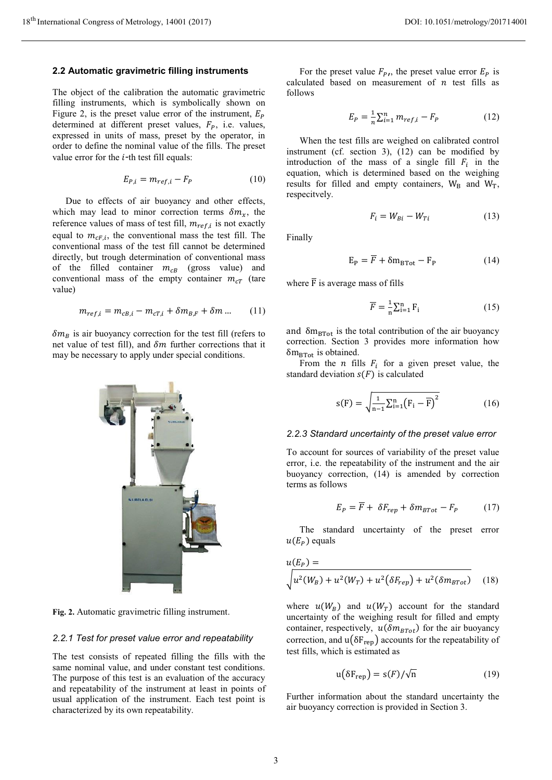#### **2.2 Automatic gravimetric filling instruments**

The object of the calibration the automatic gravimetric filling instruments, which is symbolically shown on Figure 2, is the preset value error of the instrument,  $E_p$ determined at different preset values,  $F_p$ , i.e. values, expressed in units of mass, preset by the operator, in order to define the nominal value of the fills. The preset value error for the  $i$ -th test fill equals:

$$
E_{P,i} = m_{ref,i} - F_P \tag{10}
$$

Due to effects of air buoyancy and other effects, which may lead to minor correction terms  $\delta m_{\chi}$ , the reference values of mass of test fill,  $m_{ref,i}$  is not exactly equal to  $m_{cF,i}$ , the conventional mass the test fill. The conventional mass of the test fill cannot be determined directly, but trough determination of conventional mass of the filled container  $m_{CB}$  (gross value) and conventional mass of the empty container  $m_{cT}$  (tare value)

$$
m_{ref,i} = m_{cB,i} - m_{cT,i} + \delta m_{B,F} + \delta m \dots \qquad (11)
$$

 $\delta m_B$  is air buoyancy correction for the test fill (refers to net value of test fill), and  $\delta m$  further corrections that it may be necessary to apply under special conditions.



**Fig. 2.** Automatic gravimetric filling instrument.

#### *2.2.1 Test for preset value error and repeatability*

The test consists of repeated filling the fills with the same nominal value, and under constant test conditions. The purpose of this test is an evaluation of the accuracy and repeatability of the instrument at least in points of usual application of the instrument. Each test point is characterized by its own repeatability.

For the preset value  $F_{P,1}$ , the preset value error  $E_P$  is calculated based on measurement of  $n$  test fills as follows

$$
E_P = \frac{1}{n} \sum_{i=1}^{n} m_{ref,i} - F_P
$$
 (12)

When the test fills are weighed on calibrated control instrument (cf. section 3), (12) can be modified by introduction of the mass of a single fill  $F_i$  in the equation, which is determined based on the weighing results for filled and empty containers,  $W_B$  and  $W_T$ , respecitvely.

$$
F_i = W_{Bi} - W_{Ti} \tag{13}
$$

Finally

$$
E_P = \overline{F} + \delta m_{\text{BTot}} - F_P \tag{14}
$$

where  $\overline{F}$  is average mass of fills

$$
\overline{F} = \frac{1}{n} \sum_{i=1}^{n} F_i
$$
 (15)

and  $\delta m_{\text{BTot}}$  is the total contribution of the air buoyancy correction. Section 3 provides more information how  $\delta$ m<sub>BTot</sub> is obtained.

From the *n* fills  $F_i$  for a given preset value, the standard deviation  $s(F)$  is calculated

$$
s(F) = \sqrt{\frac{1}{n-1} \sum_{i=1}^{n} (F_i - \overline{F})^2}
$$
 (16)

#### *2.2.3 Standard uncertainty of the preset value error*

To account for sources of variability of the preset value error, i.e. the repeatability of the instrument and the air buoyancy correction, (14) is amended by correction terms as follows

$$
E_P = \overline{F} + \delta F_{rep} + \delta m_{BTot} - F_P \tag{17}
$$

The standard uncertainty of the preset error  $u(E_p)$  equals

$$
u(E_P) = \sqrt{u^2(W_B) + u^2(W_T) + u^2(\delta F_{rep}) + u^2(\delta m_{BTot})}
$$
 (18)

where  $u(W_B)$  and  $u(W_T)$  account for the standard uncertainty of the weighing result for filled and empty container, respectively,  $u(\delta m_{BTot})$  for the air buoyancy correction, and  $u(\delta F_{\text{rep}})$  accounts for the repeatability of test fills, which is estimated as

$$
u(\delta F_{rep}) = s(F)/\sqrt{n}
$$
 (19)

Further information about the standard uncertainty the air buoyancy correction is provided in Section 3.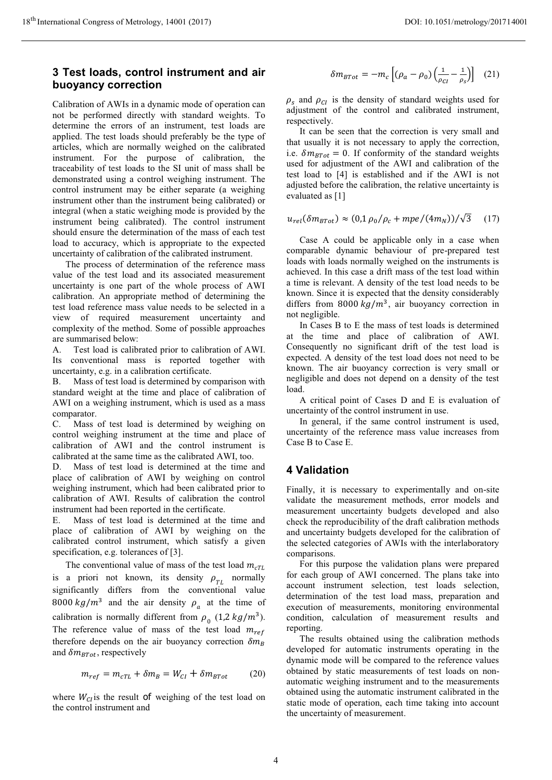### **3 Test loads, control instrument and air buoyancy correction**

Calibration of AWIs in a dynamic mode of operation can not be performed directly with standard weights. To determine the errors of an instrument, test loads are applied. The test loads should preferably be the type of articles, which are normally weighed on the calibrated instrument. For the purpose of calibration, the traceability of test loads to the SI unit of mass shall be demonstrated using a control weighing instrument. The control instrument may be either separate (a weighing instrument other than the instrument being calibrated) or integral (when a static weighing mode is provided by the instrument being calibrated). The control instrument should ensure the determination of the mass of each test load to accuracy, which is appropriate to the expected uncertainty of calibration of the calibrated instrument.

The process of determination of the reference mass value of the test load and its associated measurement uncertainty is one part of the whole process of AWI calibration. An appropriate method of determining the test load reference mass value needs to be selected in a view of required measurement uncertainty and complexity of the method. Some of possible approaches are summarised below:

A. Test load is calibrated prior to calibration of AWI. Its conventional mass is reported together with uncertainty, e.g. in a calibration certificate.

B. Mass of test load is determined by comparison with standard weight at the time and place of calibration of AWI on a weighing instrument, which is used as a mass comparator.

C. Mass of test load is determined by weighing on control weighing instrument at the time and place of calibration of AWI and the control instrument is calibrated at the same time as the calibrated AWI, too.

D. Mass of test load is determined at the time and place of calibration of AWI by weighing on control weighing instrument, which had been calibrated prior to calibration of AWI. Results of calibration the control instrument had been reported in the certificate.

E. Mass of test load is determined at the time and place of calibration of AWI by weighing on the calibrated control instrument, which satisfy a given specification, e.g. tolerances of [3].

The conventional value of mass of the test load  $m_{cTL}$ is a priori not known, its density  $\rho_{TL}$  normally significantly differs from the conventional value 8000  $kg/m^3$  and the air density  $\rho_a$  at the time of calibration is normally different from  $\rho_0$  (1,2 kg/m<sup>3</sup>). The reference value of mass of the test load  $m_{ref}$ therefore depends on the air buoyancy correction  $\delta m_B$ and  $\delta m_{BTot}$ , respectively

$$
m_{ref} = m_{cTL} + \delta m_B = W_{Cl} + \delta m_{BTot} \tag{20}
$$

where  $W_{CI}$ is the result of weighing of the test load on the control instrument and

$$
\delta m_{BTot} = -m_c \left[ (\rho_a - \rho_0) \left( \frac{1}{\rho_{CI}} - \frac{1}{\rho_s} \right) \right] (21)
$$

 $\rho_s$  and  $\rho_{cI}$  is the density of standard weights used for adjustment of the control and calibrated instrument, respectively.

It can be seen that the correction is very small and that usually it is not necessary to apply the correction, i.e.  $\delta m_{BTot} = 0$ . If conformity of the standard weights used for adjustment of the AWI and calibration of the test load to [4] is established and if the AWI is not adjusted before the calibration, the relative uncertainty is evaluated as [1]

$$
u_{rel}(\delta m_{BTot}) \approx (0.1 \rho_0/\rho_c + mpe/(4m_N))/\sqrt{3} \qquad (17)
$$

Case A could be applicable only in a case when comparable dynamic behaviour of pre-prepared test loads with loads normally weighed on the instruments is achieved. In this case a drift mass of the test load within a time is relevant. A density of the test load needs to be known. Since it is expected that the density considerably differs from 8000  $kg/m<sup>3</sup>$ , air buoyancy correction in not negligible.

In Cases B to E the mass of test loads is determined at the time and place of calibration of AWI. Consequently no significant drift of the test load is expected. A density of the test load does not need to be known. The air buoyancy correction is very small or negligible and does not depend on a density of the test load.

A critical point of Cases D and E is evaluation of uncertainty of the control instrument in use.

In general, if the same control instrument is used, uncertainty of the reference mass value increases from Case B to Case E.

### **4 Validation**

Finally, it is necessary to experimentally and on-site validate the measurement methods, error models and measurement uncertainty budgets developed and also check the reproducibility of the draft calibration methods and uncertainty budgets developed for the calibration of the selected categories of AWIs with the interlaboratory comparisons.

For this purpose the validation plans were prepared for each group of AWI concerned. The plans take into account instrument selection, test loads selection, determination of the test load mass, preparation and execution of measurements, monitoring environmental condition, calculation of measurement results and reporting.

The results obtained using the calibration methods developed for automatic instruments operating in the dynamic mode will be compared to the reference values obtained by static measurements of test loads on nonautomatic weighing instrument and to the measurements obtained using the automatic instrument calibrated in the static mode of operation, each time taking into account the uncertainty of measurement.